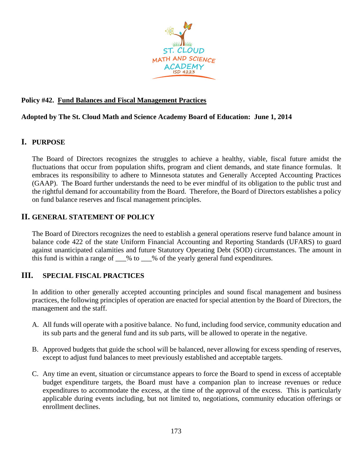

### **Policy #42. Fund Balances and Fiscal Management Practices**

### **Adopted by The St. Cloud Math and Science Academy Board of Education: June 1, 2014**

### **I. PURPOSE**

The Board of Directors recognizes the struggles to achieve a healthy, viable, fiscal future amidst the fluctuations that occur from population shifts, program and client demands, and state finance formulas. It embraces its responsibility to adhere to Minnesota statutes and Generally Accepted Accounting Practices (GAAP). The Board further understands the need to be ever mindful of its obligation to the public trust and the rightful demand for accountability from the Board. Therefore, the Board of Directors establishes a policy on fund balance reserves and fiscal management principles.

# **II. GENERAL STATEMENT OF POLICY**

The Board of Directors recognizes the need to establish a general operations reserve fund balance amount in balance code 422 of the state Uniform Financial Accounting and Reporting Standards (UFARS) to guard against unanticipated calamities and future Statutory Operating Debt (SOD) circumstances. The amount in this fund is within a range of  $\%$  to  $\%$  of the yearly general fund expenditures.

# **III. SPECIAL FISCAL PRACTICES**

In addition to other generally accepted accounting principles and sound fiscal management and business practices, the following principles of operation are enacted for special attention by the Board of Directors, the management and the staff.

- A. All funds will operate with a positive balance. No fund, including food service, community education and its sub parts and the general fund and its sub parts, will be allowed to operate in the negative.
- B. Approved budgets that guide the school will be balanced, never allowing for excess spending of reserves, except to adjust fund balances to meet previously established and acceptable targets.
- C. Any time an event, situation or circumstance appears to force the Board to spend in excess of acceptable budget expenditure targets, the Board must have a companion plan to increase revenues or reduce expenditures to accommodate the excess, at the time of the approval of the excess. This is particularly applicable during events including, but not limited to, negotiations, community education offerings or enrollment declines.